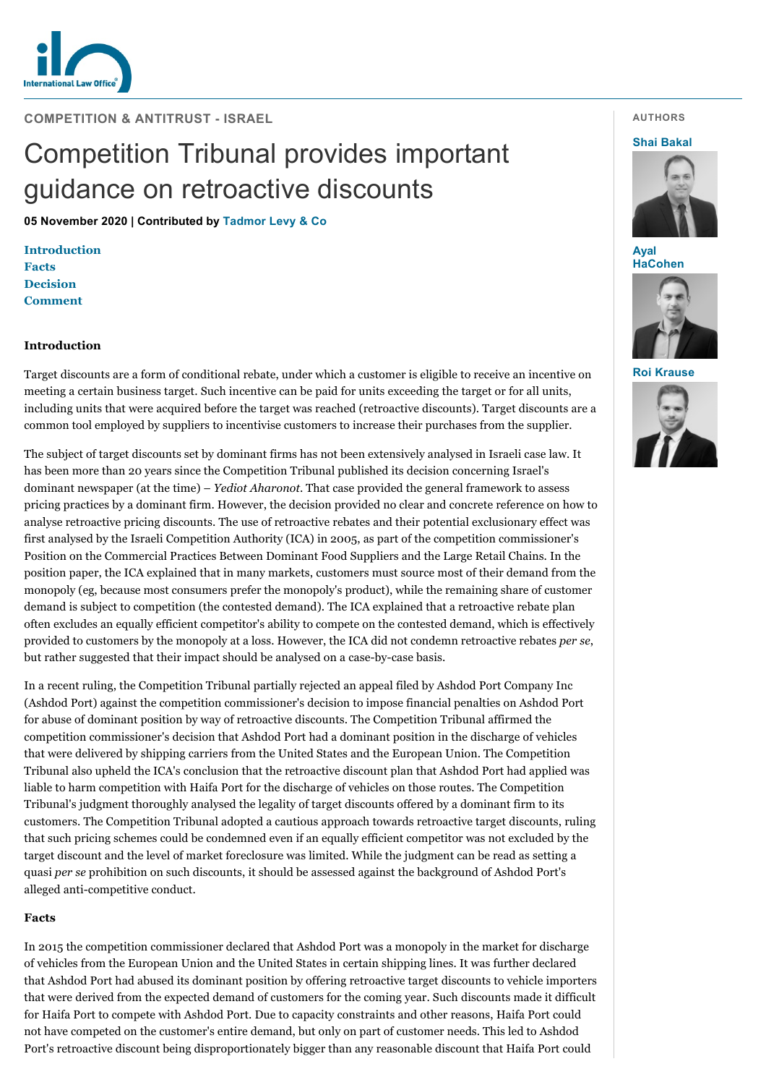

**COMPETITION & ANTITRUST - ISRAEL**

# Competition Tribunal provides important guidance on retroactive discounts

**05 November 2020 | Contributed by [Tadmor Levy & Co](https://www.internationallawoffice.com/gesr.ashx?l=9910B27)**

**[Introduction](#page-0-0) [Facts](#page-0-1) [Decision](#page-1-0) [Comment](#page-1-1)**

# <span id="page-0-0"></span>**Introduction**

Target discounts are a form of conditional rebate, under which a customer is eligible to receive an incentive on meeting a certain business target. Such incentive can be paid for units exceeding the target or for all units, including units that were acquired before the target was reached (retroactive discounts). Target discounts are a common tool employed by suppliers to incentivise customers to increase their purchases from the supplier.

The subject of target discounts set by dominant firms has not been extensively analysed in Israeli case law. It has been more than 20 years since the Competition Tribunal published its decision concerning Israel's dominant newspaper (at the time) – *Yediot Aharonot*. That case provided the general framework to assess pricing practices by a dominant firm. However, the decision provided no clear and concrete reference on how to analyse retroactive pricing discounts. The use of retroactive rebates and their potential exclusionary effect was first analysed by the Israeli Competition Authority (ICA) in 2005, as part of the competition commissioner's Position on the Commercial Practices Between Dominant Food Suppliers and the Large Retail Chains. In the position paper, the ICA explained that in many markets, customers must source most of their demand from the monopoly (eg, because most consumers prefer the monopoly's product), while the remaining share of customer demand is subject to competition (the contested demand). The ICA explained that a retroactive rebate plan often excludes an equally efficient competitor's ability to compete on the contested demand, which is effectively provided to customers by the monopoly at a loss. However, the ICA did not condemn retroactive rebates *per se*, but rather suggested that their impact should be analysed on a case-by-case basis.

In a recent ruling, the Competition Tribunal partially rejected an appeal filed by Ashdod Port Company Inc (Ashdod Port) against the competition commissioner's decision to impose financial penalties on Ashdod Port for abuse of dominant position by way of retroactive discounts. The Competition Tribunal affirmed the competition commissioner's decision that Ashdod Port had a dominant position in the discharge of vehicles that were delivered by shipping carriers from the United States and the European Union. The Competition Tribunal also upheld the ICA's conclusion that the retroactive discount plan that Ashdod Port had applied was liable to harm competition with Haifa Port for the discharge of vehicles on those routes. The Competition Tribunal's judgment thoroughly analysed the legality of target discounts offered by a dominant firm to its customers. The Competition Tribunal adopted a cautious approach towards retroactive target discounts, ruling that such pricing schemes could be condemned even if an equally efficient competitor was not excluded by the target discount and the level of market foreclosure was limited. While the judgment can be read as setting a quasi *per se* prohibition on such discounts, it should be assessed against the background of Ashdod Port's alleged anti-competitive conduct.

### <span id="page-0-1"></span>**Facts**

In 2015 the competition commissioner declared that Ashdod Port was a monopoly in the market for discharge of vehicles from the European Union and the United States in certain shipping lines. It was further declared that Ashdod Port had abused its dominant position by offering retroactive target discounts to vehicle importers that were derived from the expected demand of customers for the coming year. Such discounts made it difficult for Haifa Port to compete with Ashdod Port. Due to capacity constraints and other reasons, Haifa Port could not have competed on the customer's entire demand, but only on part of customer needs. This led to Ashdod Port's retroactive discount being disproportionately bigger than any reasonable discount that Haifa Port could

## **AUTHORS**

#### **[Shai Bakal](https://www.internationallawoffice.com/gesr.ashx?l=9910B3W)**



**Ayal [HaCohen](https://www.internationallawoffice.com/gesr.ashx?l=9910B3Z)**



**[Roi Krause](https://www.internationallawoffice.com/gesr.ashx?l=9910B42)**